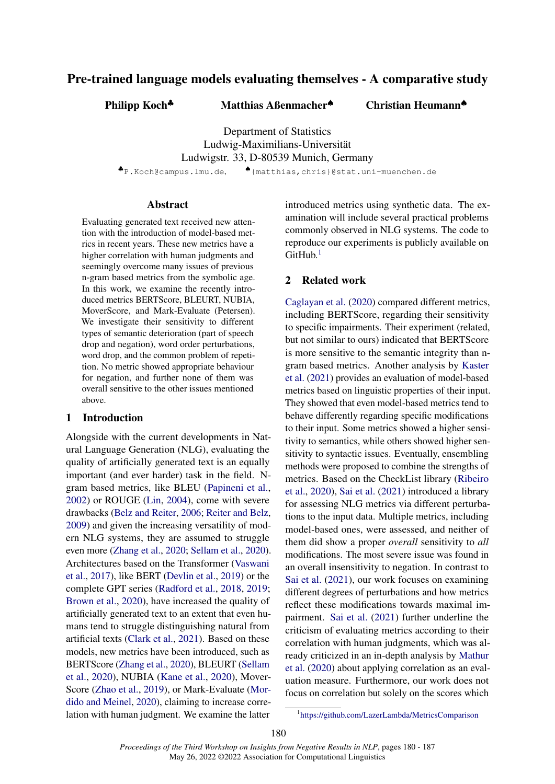## Pre-trained language models evaluating themselves - A comparative study

Philipp Koch<sup>♣</sup> Matthias Aßenmacher<sup>♦</sup>

Christian Heumann♠

Department of Statistics Ludwig-Maximilians-Universität Ludwigstr. 33, D-80539 Munich, Germany

♣P.Koch@campus.lmu.de, ♠{matthias,chris}@stat.uni-muenchen.de

#### Abstract

Evaluating generated text received new attention with the introduction of model-based metrics in recent years. These new metrics have a higher correlation with human judgments and seemingly overcome many issues of previous n-gram based metrics from the symbolic age. In this work, we examine the recently introduced metrics BERTScore, BLEURT, NUBIA, MoverScore, and Mark-Evaluate (Petersen). We investigate their sensitivity to different types of semantic deterioration (part of speech drop and negation), word order perturbations, word drop, and the common problem of repetition. No metric showed appropriate behaviour for negation, and further none of them was overall sensitive to the other issues mentioned above.

#### 1 Introduction

Alongside with the current developments in Natural Language Generation (NLG), evaluating the quality of artificially generated text is an equally important (and ever harder) task in the field. Ngram based metrics, like BLEU (Papineni et al., 2002) or ROUGE (Lin, 2004), come with severe drawbacks (Belz and Reiter, 2006; Reiter and Belz, 2009) and given the increasing versatility of modern NLG systems, they are assumed to struggle even more (Zhang et al., 2020; Sellam et al., 2020). Architectures based on the Transformer (Vaswani et al., 2017), like BERT (Devlin et al., 2019) or the complete GPT series (Radford et al., 2018, 2019; Brown et al., 2020), have increased the quality of artificially generated text to an extent that even humans tend to struggle distinguishing natural from artificial texts (Clark et al., 2021). Based on these models, new metrics have been introduced, such as BERTScore (Zhang et al., 2020), BLEURT (Sellam et al., 2020), NUBIA (Kane et al., 2020), Mover-Score (Zhao et al., 2019), or Mark-Evaluate (Mordido and Meinel, 2020), claiming to increase correlation with human judgment. We examine the latter introduced metrics using synthetic data. The examination will include several practical problems commonly observed in NLG systems. The code to reproduce our experiments is publicly available on  $G$ itHub $<sup>1</sup>$ </sup>

## 2 Related work

Caglayan et al. (2020) compared different metrics, including BERTScore, regarding their sensitivity to specific impairments. Their experiment (related, but not similar to ours) indicated that BERTScore is more sensitive to the semantic integrity than ngram based metrics. Another analysis by Kaster et al. (2021) provides an evaluation of model-based metrics based on linguistic properties of their input. They showed that even model-based metrics tend to behave differently regarding specific modifications to their input. Some metrics showed a higher sensitivity to semantics, while others showed higher sensitivity to syntactic issues. Eventually, ensembling methods were proposed to combine the strengths of metrics. Based on the CheckList library (Ribeiro et al., 2020), Sai et al. (2021) introduced a library for assessing NLG metrics via different perturbations to the input data. Multiple metrics, including model-based ones, were assessed, and neither of them did show a proper *overall* sensitivity to *all* modifications. The most severe issue was found in an overall insensitivity to negation. In contrast to Sai et al. (2021), our work focuses on examining different degrees of perturbations and how metrics reflect these modifications towards maximal impairment. Sai et al. (2021) further underline the criticism of evaluating metrics according to their correlation with human judgments, which was already criticized in an in-depth analysis by Mathur et al. (2020) about applying correlation as an evaluation measure. Furthermore, our work does not focus on correlation but solely on the scores which

<sup>1</sup> https://github.com/LazerLambda/MetricsComparison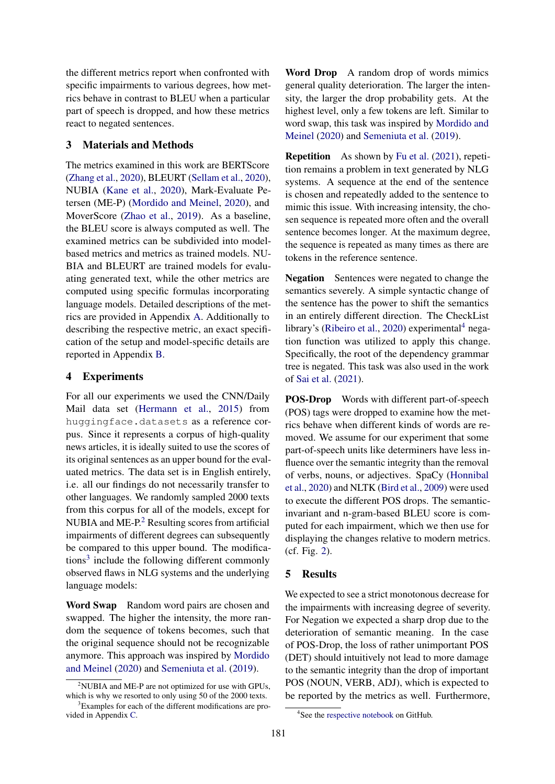the different metrics report when confronted with specific impairments to various degrees, how metrics behave in contrast to BLEU when a particular part of speech is dropped, and how these metrics react to negated sentences.

#### 3 Materials and Methods

The metrics examined in this work are BERTScore (Zhang et al., 2020), BLEURT (Sellam et al., 2020), NUBIA (Kane et al., 2020), Mark-Evaluate Petersen (ME-P) (Mordido and Meinel, 2020), and MoverScore (Zhao et al., 2019). As a baseline, the BLEU score is always computed as well. The examined metrics can be subdivided into modelbased metrics and metrics as trained models. NU-BIA and BLEURT are trained models for evaluating generated text, while the other metrics are computed using specific formulas incorporating language models. Detailed descriptions of the metrics are provided in Appendix A. Additionally to describing the respective metric, an exact specification of the setup and model-specific details are reported in Appendix B.

#### 4 Experiments

For all our experiments we used the CNN/Daily Mail data set (Hermann et al., 2015) from huggingface.datasets as a reference corpus. Since it represents a corpus of high-quality news articles, it is ideally suited to use the scores of its original sentences as an upper bound for the evaluated metrics. The data set is in English entirely, i.e. all our findings do not necessarily transfer to other languages. We randomly sampled 2000 texts from this corpus for all of the models, except for NUBIA and  $ME-P<sup>2</sup>$  Resulting scores from artificial impairments of different degrees can subsequently be compared to this upper bound. The modifications<sup>3</sup> include the following different commonly observed flaws in NLG systems and the underlying language models:

Word Swap Random word pairs are chosen and swapped. The higher the intensity, the more random the sequence of tokens becomes, such that the original sequence should not be recognizable anymore. This approach was inspired by Mordido and Meinel (2020) and Semeniuta et al. (2019).

Word Drop A random drop of words mimics general quality deterioration. The larger the intensity, the larger the drop probability gets. At the highest level, only a few tokens are left. Similar to word swap, this task was inspired by Mordido and Meinel (2020) and Semeniuta et al. (2019).

Repetition As shown by Fu et al. (2021), repetition remains a problem in text generated by NLG systems. A sequence at the end of the sentence is chosen and repeatedly added to the sentence to mimic this issue. With increasing intensity, the chosen sequence is repeated more often and the overall sentence becomes longer. At the maximum degree, the sequence is repeated as many times as there are tokens in the reference sentence.

Negation Sentences were negated to change the semantics severely. A simple syntactic change of the sentence has the power to shift the semantics in an entirely different direction. The CheckList library's (Ribeiro et al., 2020) experimental $4$  negation function was utilized to apply this change. Specifically, the root of the dependency grammar tree is negated. This task was also used in the work of Sai et al. (2021).

POS-Drop Words with different part-of-speech (POS) tags were dropped to examine how the metrics behave when different kinds of words are removed. We assume for our experiment that some part-of-speech units like determiners have less influence over the semantic integrity than the removal of verbs, nouns, or adjectives. SpaCy (Honnibal et al., 2020) and NLTK (Bird et al., 2009) were used to execute the different POS drops. The semanticinvariant and n-gram-based BLEU score is computed for each impairment, which we then use for displaying the changes relative to modern metrics. (cf. Fig. 2).

#### 5 Results

We expected to see a strict monotonous decrease for the impairments with increasing degree of severity. For Negation we expected a sharp drop due to the deterioration of semantic meaning. In the case of POS-Drop, the loss of rather unimportant POS (DET) should intuitively not lead to more damage to the semantic integrity than the drop of important POS (NOUN, VERB, ADJ), which is expected to be reported by the metrics as well. Furthermore,

 $2$ NUBIA and ME-P are not optimized for use with GPUs, which is why we resorted to only using 50 of the 2000 texts.

<sup>&</sup>lt;sup>3</sup>Examples for each of the different modifications are provided in Appendix C.

<sup>4</sup> See the respective notebook on GitHub.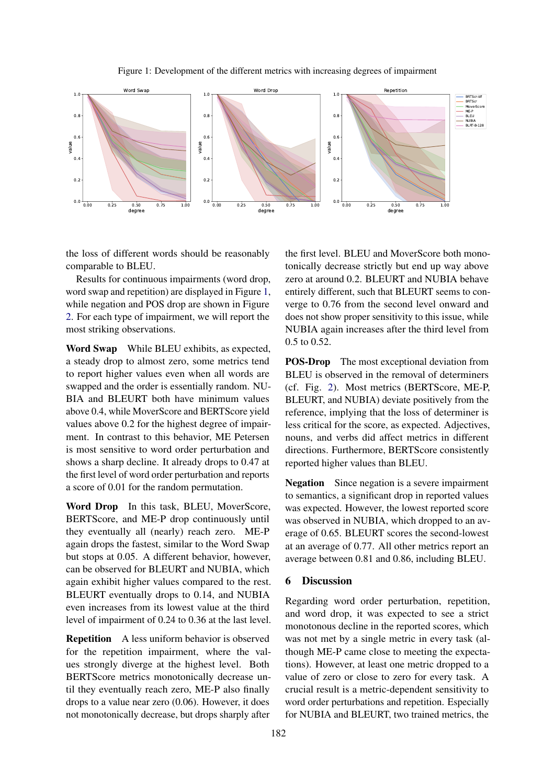Figure 1: Development of the different metrics with increasing degrees of impairment



the loss of different words should be reasonably comparable to BLEU.

Results for continuous impairments (word drop, word swap and repetition) are displayed in Figure 1, while negation and POS drop are shown in Figure 2. For each type of impairment, we will report the most striking observations.

Word Swap While BLEU exhibits, as expected, a steady drop to almost zero, some metrics tend to report higher values even when all words are swapped and the order is essentially random. NU-BIA and BLEURT both have minimum values above 0.4, while MoverScore and BERTScore yield values above 0.2 for the highest degree of impairment. In contrast to this behavior, ME Petersen is most sensitive to word order perturbation and shows a sharp decline. It already drops to 0.47 at the first level of word order perturbation and reports a score of 0.01 for the random permutation.

Word Drop In this task, BLEU, MoverScore, BERTScore, and ME-P drop continuously until they eventually all (nearly) reach zero. ME-P again drops the fastest, similar to the Word Swap but stops at 0.05. A different behavior, however, can be observed for BLEURT and NUBIA, which again exhibit higher values compared to the rest. BLEURT eventually drops to 0.14, and NUBIA even increases from its lowest value at the third level of impairment of 0.24 to 0.36 at the last level.

Repetition A less uniform behavior is observed for the repetition impairment, where the values strongly diverge at the highest level. Both BERTScore metrics monotonically decrease until they eventually reach zero, ME-P also finally drops to a value near zero (0.06). However, it does not monotonically decrease, but drops sharply after

the first level. BLEU and MoverScore both monotonically decrease strictly but end up way above zero at around 0.2. BLEURT and NUBIA behave entirely different, such that BLEURT seems to converge to 0.76 from the second level onward and does not show proper sensitivity to this issue, while NUBIA again increases after the third level from 0.5 to 0.52.

POS-Drop The most exceptional deviation from BLEU is observed in the removal of determiners (cf. Fig. 2). Most metrics (BERTScore, ME-P, BLEURT, and NUBIA) deviate positively from the reference, implying that the loss of determiner is less critical for the score, as expected. Adjectives, nouns, and verbs did affect metrics in different directions. Furthermore, BERTScore consistently reported higher values than BLEU.

Negation Since negation is a severe impairment to semantics, a significant drop in reported values was expected. However, the lowest reported score was observed in NUBIA, which dropped to an average of 0.65. BLEURT scores the second-lowest at an average of 0.77. All other metrics report an average between 0.81 and 0.86, including BLEU.

#### 6 Discussion

Regarding word order perturbation, repetition, and word drop, it was expected to see a strict monotonous decline in the reported scores, which was not met by a single metric in every task (although ME-P came close to meeting the expectations). However, at least one metric dropped to a value of zero or close to zero for every task. A crucial result is a metric-dependent sensitivity to word order perturbations and repetition. Especially for NUBIA and BLEURT, two trained metrics, the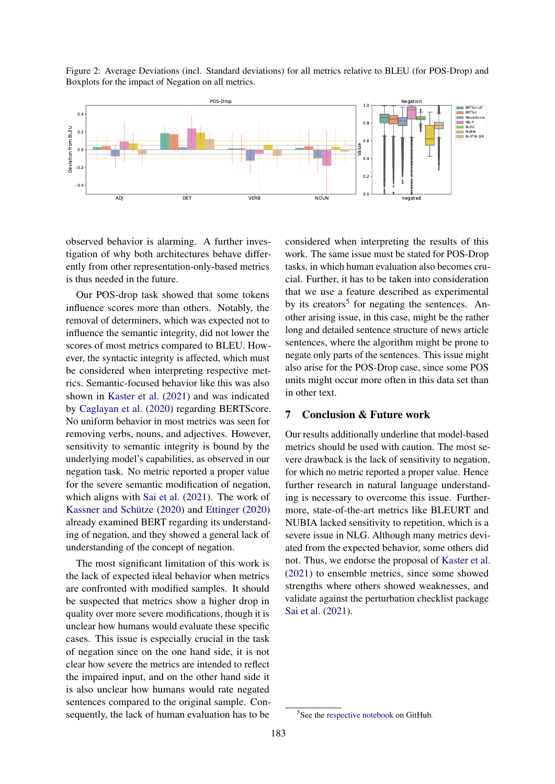Figure 2: Average Deviations (incl. Standard deviations) for all metrics relative to BLEU (for POS-Drop) and Boxplots for the impact of Negation on all metrics.



observed behavior is alarming. A further investigation of why both architectures behave differently from other representation-only-based metrics is thus needed in the future.

Our POS-drop task showed that some tokens influence scores more than others. Notably, the removal of determiners, which was expected not to influence the semantic integrity, did not lower the scores of most metrics compared to BLEU. However, the syntactic integrity is affected, which must be considered when interpreting respective metrics. Semantic-focused behavior like this was also shown in Kaster et al. (2021) and was indicated by Caglayan et al. (2020) regarding BERTScore. No uniform behavior in most metrics was seen for removing verbs, nouns, and adjectives. However, sensitivity to semantic integrity is bound by the underlying model's capabilities, as observed in our negation task. No metric reported a proper value for the severe semantic modification of negation, which aligns with Sai et al. (2021). The work of Kassner and Schütze (2020) and Ettinger (2020) already examined BERT regarding its understanding of negation, and they showed a general lack of understanding of the concept of negation.

The most significant limitation of this work is the lack of expected ideal behavior when metrics are confronted with modified samples. It should be suspected that metrics show a higher drop in quality over more severe modifications, though it is unclear how humans would evaluate these specific cases. This issue is especially crucial in the task of negation since on the one hand side, it is not clear how severe the metrics are intended to reflect the impaired input, and on the other hand side it is also unclear how humans would rate negated sentences compared to the original sample. Consequently, the lack of human evaluation has to be

considered when interpreting the results of this work. The same issue must be stated for POS-Drop tasks, in which human evaluation also becomes crucial. Further, it has to be taken into consideration that we use a feature described as experimental by its creators<sup>5</sup> for negating the sentences. Another arising issue, in this case, might be the rather long and detailed sentence structure of news article sentences, where the algorithm might be prone to negate only parts of the sentences. This issue might also arise for the POS-Drop case, since some POS units might occur more often in this data set than in other text.

## 7 Conclusion & Future work

Our results additionally underline that model-based metrics should be used with caution. The most severe drawback is the lack of sensitivity to negation, for which no metric reported a proper value. Hence further research in natural language understanding is necessary to overcome this issue. Furthermore, state-of-the-art metrics like BLEURT and NUBIA lacked sensitivity to repetition, which is a severe issue in NLG. Although many metrics deviated from the expected behavior, some others did not. Thus, we endorse the proposal of Kaster et al. (2021) to ensemble metrics, since some showed strengths where others showed weaknesses, and validate against the perturbation checklist package Sai et al. (2021).

<sup>5</sup> See the respective notebook on GitHub.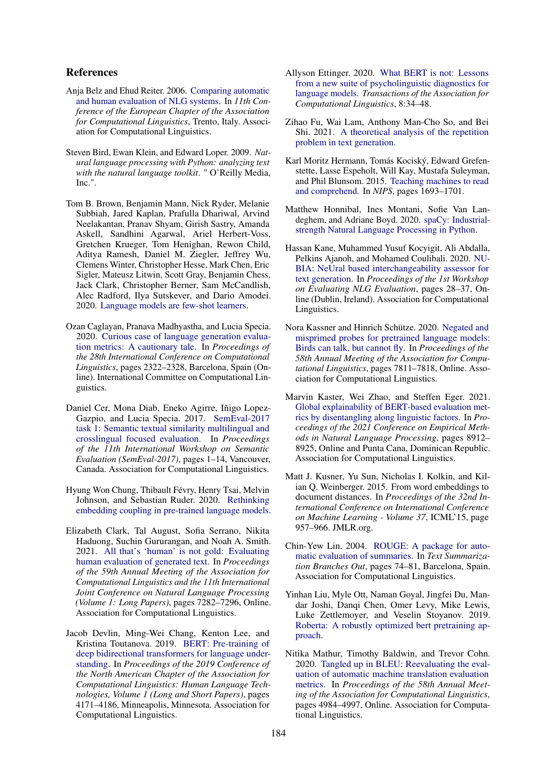#### References

- Anja Belz and Ehud Reiter. 2006. Comparing automatic and human evaluation of NLG systems. In *11th Conference of the European Chapter of the Association for Computational Linguistics*, Trento, Italy. Association for Computational Linguistics.
- Steven Bird, Ewan Klein, and Edward Loper. 2009. *Natural language processing with Python: analyzing text with the natural language toolkit*. " O'Reilly Media, Inc.".
- Tom B. Brown, Benjamin Mann, Nick Ryder, Melanie Subbiah, Jared Kaplan, Prafulla Dhariwal, Arvind Neelakantan, Pranav Shyam, Girish Sastry, Amanda Askell, Sandhini Agarwal, Ariel Herbert-Voss, Gretchen Krueger, Tom Henighan, Rewon Child, Aditya Ramesh, Daniel M. Ziegler, Jeffrey Wu, Clemens Winter, Christopher Hesse, Mark Chen, Eric Sigler, Mateusz Litwin, Scott Gray, Benjamin Chess, Jack Clark, Christopher Berner, Sam McCandlish, Alec Radford, Ilya Sutskever, and Dario Amodei. 2020. Language models are few-shot learners.
- Ozan Caglayan, Pranava Madhyastha, and Lucia Specia. 2020. Curious case of language generation evaluation metrics: A cautionary tale. In *Proceedings of the 28th International Conference on Computational Linguistics*, pages 2322–2328, Barcelona, Spain (Online). International Committee on Computational Linguistics.
- Daniel Cer, Mona Diab, Eneko Agirre, Iñigo Lopez-Gazpio, and Lucia Specia. 2017. SemEval-2017 task 1: Semantic textual similarity multilingual and crosslingual focused evaluation. In *Proceedings of the 11th International Workshop on Semantic Evaluation (SemEval-2017)*, pages 1–14, Vancouver, Canada. Association for Computational Linguistics.
- Hyung Won Chung, Thibault Févry, Henry Tsai, Melvin Johnson, and Sebastian Ruder. 2020. Rethinking embedding coupling in pre-trained language models.
- Elizabeth Clark, Tal August, Sofia Serrano, Nikita Haduong, Suchin Gururangan, and Noah A. Smith. 2021. All that's 'human' is not gold: Evaluating human evaluation of generated text. In *Proceedings of the 59th Annual Meeting of the Association for Computational Linguistics and the 11th International Joint Conference on Natural Language Processing (Volume 1: Long Papers)*, pages 7282–7296, Online. Association for Computational Linguistics.
- Jacob Devlin, Ming-Wei Chang, Kenton Lee, and Kristina Toutanova. 2019. BERT: Pre-training of deep bidirectional transformers for language understanding. In *Proceedings of the 2019 Conference of the North American Chapter of the Association for Computational Linguistics: Human Language Technologies, Volume 1 (Long and Short Papers)*, pages 4171–4186, Minneapolis, Minnesota. Association for Computational Linguistics.
- Allyson Ettinger. 2020. What BERT is not: Lessons from a new suite of psycholinguistic diagnostics for language models. *Transactions of the Association for Computational Linguistics*, 8:34–48.
- Zihao Fu, Wai Lam, Anthony Man-Cho So, and Bei Shi. 2021. A theoretical analysis of the repetition problem in text generation.
- Karl Moritz Hermann, Tomás Kociský, Edward Grefenstette, Lasse Espeholt, Will Kay, Mustafa Suleyman, and Phil Blunsom. 2015. Teaching machines to read and comprehend. In *NIPS*, pages 1693–1701.
- Matthew Honnibal, Ines Montani, Sofie Van Landeghem, and Adriane Boyd. 2020. spaCy: Industrialstrength Natural Language Processing in Python.
- Hassan Kane, Muhammed Yusuf Kocyigit, Ali Abdalla, Pelkins Ajanoh, and Mohamed Coulibali. 2020. NU-BIA: NeUral based interchangeability assessor for text generation. In *Proceedings of the 1st Workshop on Evaluating NLG Evaluation*, pages 28–37, Online (Dublin, Ireland). Association for Computational Linguistics.
- Nora Kassner and Hinrich Schütze. 2020. Negated and misprimed probes for pretrained language models: Birds can talk, but cannot fly. In *Proceedings of the 58th Annual Meeting of the Association for Computational Linguistics*, pages 7811–7818, Online. Association for Computational Linguistics.
- Marvin Kaster, Wei Zhao, and Steffen Eger. 2021. Global explainability of BERT-based evaluation metrics by disentangling along linguistic factors. In *Proceedings of the 2021 Conference on Empirical Methods in Natural Language Processing*, pages 8912– 8925, Online and Punta Cana, Dominican Republic. Association for Computational Linguistics.
- Matt J. Kusner, Yu Sun, Nicholas I. Kolkin, and Kilian Q. Weinberger. 2015. From word embeddings to document distances. In *Proceedings of the 32nd International Conference on International Conference on Machine Learning - Volume 37*, ICML'15, page 957–966. JMLR.org.
- Chin-Yew Lin. 2004. ROUGE: A package for automatic evaluation of summaries. In *Text Summarization Branches Out*, pages 74–81, Barcelona, Spain. Association for Computational Linguistics.
- Yinhan Liu, Myle Ott, Naman Goyal, Jingfei Du, Mandar Joshi, Danqi Chen, Omer Levy, Mike Lewis, Luke Zettlemoyer, and Veselin Stoyanov. 2019. Roberta: A robustly optimized bert pretraining approach.
- Nitika Mathur, Timothy Baldwin, and Trevor Cohn. 2020. Tangled up in BLEU: Reevaluating the evaluation of automatic machine translation evaluation metrics. In *Proceedings of the 58th Annual Meeting of the Association for Computational Linguistics*, pages 4984–4997, Online. Association for Computational Linguistics.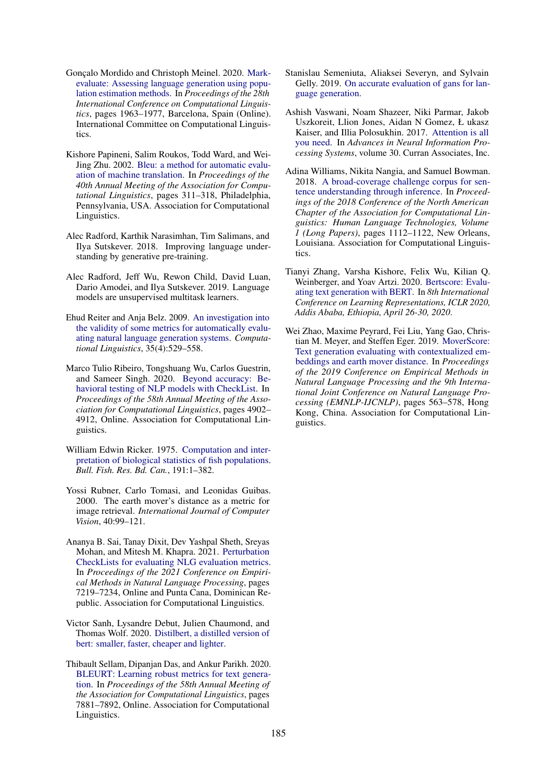- Gonçalo Mordido and Christoph Meinel. 2020. Markevaluate: Assessing language generation using population estimation methods. In *Proceedings of the 28th International Conference on Computational Linguistics*, pages 1963–1977, Barcelona, Spain (Online). International Committee on Computational Linguistics.
- Kishore Papineni, Salim Roukos, Todd Ward, and Wei-Jing Zhu. 2002. Bleu: a method for automatic evaluation of machine translation. In *Proceedings of the 40th Annual Meeting of the Association for Computational Linguistics*, pages 311–318, Philadelphia, Pennsylvania, USA. Association for Computational Linguistics.
- Alec Radford, Karthik Narasimhan, Tim Salimans, and Ilya Sutskever. 2018. Improving language understanding by generative pre-training.
- Alec Radford, Jeff Wu, Rewon Child, David Luan, Dario Amodei, and Ilya Sutskever. 2019. Language models are unsupervised multitask learners.
- Ehud Reiter and Anja Belz. 2009. An investigation into the validity of some metrics for automatically evaluating natural language generation systems. *Computational Linguistics*, 35(4):529–558.
- Marco Tulio Ribeiro, Tongshuang Wu, Carlos Guestrin, and Sameer Singh. 2020. Beyond accuracy: Behavioral testing of NLP models with CheckList. In *Proceedings of the 58th Annual Meeting of the Association for Computational Linguistics*, pages 4902– 4912, Online. Association for Computational Linguistics.
- William Edwin Ricker. 1975. Computation and interpretation of biological statistics of fish populations. *Bull. Fish. Res. Bd. Can.*, 191:1–382.
- Yossi Rubner, Carlo Tomasi, and Leonidas Guibas. 2000. The earth mover's distance as a metric for image retrieval. *International Journal of Computer Vision*, 40:99–121.
- Ananya B. Sai, Tanay Dixit, Dev Yashpal Sheth, Sreyas Mohan, and Mitesh M. Khapra. 2021. Perturbation CheckLists for evaluating NLG evaluation metrics. In *Proceedings of the 2021 Conference on Empirical Methods in Natural Language Processing*, pages 7219–7234, Online and Punta Cana, Dominican Republic. Association for Computational Linguistics.
- Victor Sanh, Lysandre Debut, Julien Chaumond, and Thomas Wolf. 2020. Distilbert, a distilled version of bert: smaller, faster, cheaper and lighter.
- Thibault Sellam, Dipanjan Das, and Ankur Parikh. 2020. BLEURT: Learning robust metrics for text generation. In *Proceedings of the 58th Annual Meeting of the Association for Computational Linguistics*, pages 7881–7892, Online. Association for Computational Linguistics.
- Stanislau Semeniuta, Aliaksei Severyn, and Sylvain Gelly. 2019. On accurate evaluation of gans for language generation.
- Ashish Vaswani, Noam Shazeer, Niki Parmar, Jakob Uszkoreit, Llion Jones, Aidan N Gomez, Ł ukasz Kaiser, and Illia Polosukhin. 2017. Attention is all you need. In *Advances in Neural Information Processing Systems*, volume 30. Curran Associates, Inc.
- Adina Williams, Nikita Nangia, and Samuel Bowman. 2018. A broad-coverage challenge corpus for sentence understanding through inference. In *Proceedings of the 2018 Conference of the North American Chapter of the Association for Computational Linguistics: Human Language Technologies, Volume 1 (Long Papers)*, pages 1112–1122, New Orleans, Louisiana. Association for Computational Linguistics.
- Tianyi Zhang, Varsha Kishore, Felix Wu, Kilian Q. Weinberger, and Yoav Artzi. 2020. Bertscore: Evaluating text generation with BERT. In *8th International Conference on Learning Representations, ICLR 2020, Addis Ababa, Ethiopia, April 26-30, 2020*.
- Wei Zhao, Maxime Peyrard, Fei Liu, Yang Gao, Christian M. Meyer, and Steffen Eger. 2019. MoverScore: Text generation evaluating with contextualized embeddings and earth mover distance. In *Proceedings of the 2019 Conference on Empirical Methods in Natural Language Processing and the 9th International Joint Conference on Natural Language Processing (EMNLP-IJCNLP)*, pages 563–578, Hong Kong, China. Association for Computational Linguistics.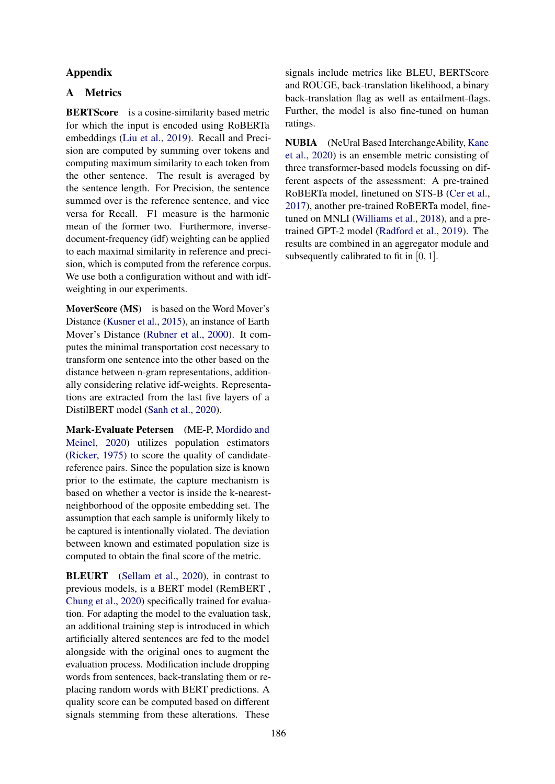## Appendix

## A Metrics

BERTScore is a cosine-similarity based metric for which the input is encoded using RoBERTa embeddings (Liu et al., 2019). Recall and Precision are computed by summing over tokens and computing maximum similarity to each token from the other sentence. The result is averaged by the sentence length. For Precision, the sentence summed over is the reference sentence, and vice versa for Recall. F1 measure is the harmonic mean of the former two. Furthermore, inversedocument-frequency (idf) weighting can be applied to each maximal similarity in reference and precision, which is computed from the reference corpus. We use both a configuration without and with idfweighting in our experiments.

MoverScore (MS) is based on the Word Mover's Distance (Kusner et al., 2015), an instance of Earth Mover's Distance (Rubner et al., 2000). It computes the minimal transportation cost necessary to transform one sentence into the other based on the distance between n-gram representations, additionally considering relative idf-weights. Representations are extracted from the last five layers of a DistilBERT model (Sanh et al., 2020).

Mark-Evaluate Petersen (ME-P, Mordido and Meinel, 2020) utilizes population estimators (Ricker, 1975) to score the quality of candidatereference pairs. Since the population size is known prior to the estimate, the capture mechanism is based on whether a vector is inside the k-nearestneighborhood of the opposite embedding set. The assumption that each sample is uniformly likely to be captured is intentionally violated. The deviation between known and estimated population size is computed to obtain the final score of the metric.

**BLEURT** (Sellam et al., 2020), in contrast to previous models, is a BERT model (RemBERT , Chung et al., 2020) specifically trained for evaluation. For adapting the model to the evaluation task, an additional training step is introduced in which artificially altered sentences are fed to the model alongside with the original ones to augment the evaluation process. Modification include dropping words from sentences, back-translating them or replacing random words with BERT predictions. A quality score can be computed based on different signals stemming from these alterations. These

signals include metrics like BLEU, BERTScore and ROUGE, back-translation likelihood, a binary back-translation flag as well as entailment-flags. Further, the model is also fine-tuned on human ratings.

NUBIA (NeUral Based InterchangeAbility, Kane et al., 2020) is an ensemble metric consisting of three transformer-based models focussing on different aspects of the assessment: A pre-trained RoBERTa model, finetuned on STS-B (Cer et al., 2017), another pre-trained RoBERTa model, finetuned on MNLI (Williams et al., 2018), and a pretrained GPT-2 model (Radford et al., 2019). The results are combined in an aggregator module and subsequently calibrated to fit in [0, 1].